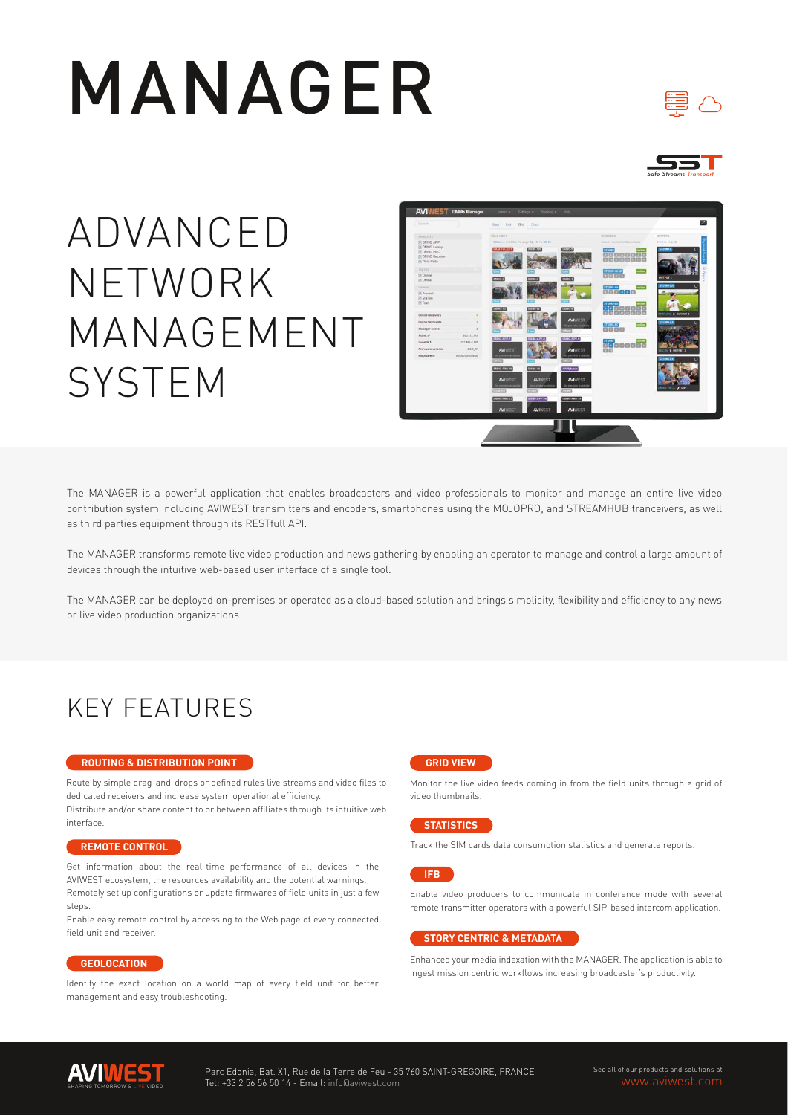# MANAGER





ADVANCED NETWORK MANAGEMENT SYSTEM



The MANAGER is a powerful application that enables broadcasters and video professionals to monitor and manage an entire live video contribution system including AVIWEST transmitters and encoders, smartphones using the MOJOPRO, and STREAMHUB tranceivers, as well as third parties equipment through its RESTfull API.

The MANAGER transforms remote live video production and news gathering by enabling an operator to manage and control a large amount of devices through the intuitive web-based user interface of a single tool.

The MANAGER can be deployed on-premises or operated as a cloud-based solution and brings simplicity, flexibility and efficiency to any news or live video production organizations.

### KEY FEATURES

#### **ROUTING & DISTRIBUTION POINT**

Route by simple drag-and-drops or defined rules live streams and video files to dedicated receivers and increase system operational efficiency. Distribute and/or share content to or between affiliates through its intuitive web

interface.

#### **REMOTE CONTROL**

Get information about the real-time performance of all devices in the AVIWEST ecosystem, the resources availability and the potential warnings. Remotely set up configurations or update firmwares of field units in just a few steps.

Enable easy remote control by accessing to the Web page of every connected field unit and receiver.

#### **GEOLOCATION**

Identify the exact location on a world map of every field unit for better management and easy troubleshooting.



Monitor the live video feeds coming in from the field units through a grid of video thumbnails.

#### **STATISTICS**

Track the SIM cards data consumption statistics and generate reports.

**IFB**

Enable video producers to communicate in conference mode with several remote transmitter operators with a powerful SIP-based intercom application.

#### **STORY CENTRIC & METADATA**

Enhanced your media indexation with the MANAGER. The application is able to ingest mission centric workflows increasing broadcaster's productivity.